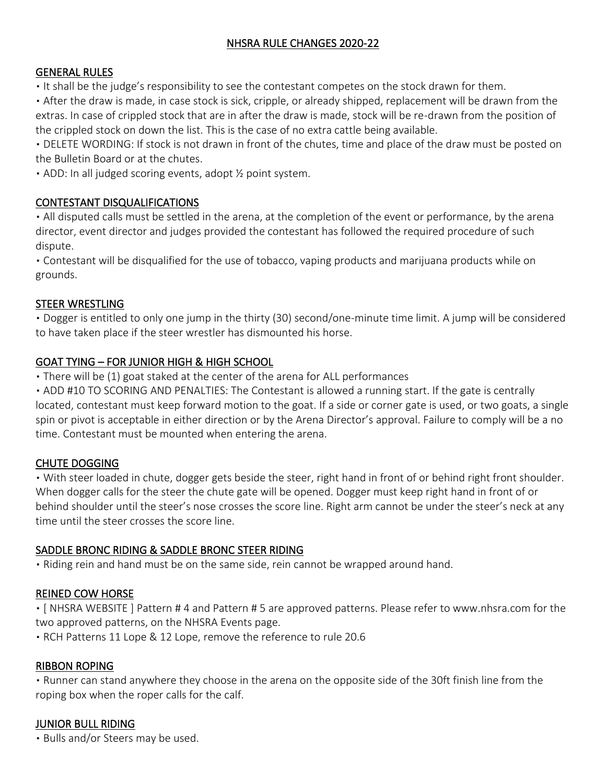## NHSRA RULE CHANGES 2020-22

#### GENERAL RULES

. It shall be the judge's responsibility to see the contestant competes on the stock drawn for them.

▪ After the draw is made, in case stock is sick, cripple, or already shipped, replacement will be drawn from the extras. In case of crippled stock that are in after the draw is made, stock will be re-drawn from the position of the crippled stock on down the list. This is the case of no extra cattle being available.

▪ DELETE WORDING: If stock is not drawn in front of the chutes, time and place of the draw must be posted on the Bulletin Board or at the chutes.

• ADD: In all judged scoring events, adopt 1/2 point system.

#### CONTESTANT DISQUALIFICATIONS

• All disputed calls must be settled in the arena, at the completion of the event or performance, by the arena director, event director and judges provided the contestant has followed the required procedure of such dispute.

▪ Contestant will be disqualified for the use of tobacco, vaping products and marijuana products while on grounds.

#### STEER WRESTLING

▪ Dogger is entitled to only one jump in the thirty (30) second/one-minute time limit. A jump will be considered to have taken place if the steer wrestler has dismounted his horse.

## GOAT TYING – FOR JUNIOR HIGH & HIGH SCHOOL

• There will be (1) goat staked at the center of the arena for ALL performances

• ADD #10 TO SCORING AND PENALTIES: The Contestant is allowed a running start. If the gate is centrally located, contestant must keep forward motion to the goat. If a side or corner gate is used, or two goats, a single spin or pivot is acceptable in either direction or by the Arena Director's approval. Failure to comply will be a no time. Contestant must be mounted when entering the arena.

## CHUTE DOGGING

▪ With steer loaded in chute, dogger gets beside the steer, right hand in front of or behind right front shoulder. When dogger calls for the steer the chute gate will be opened. Dogger must keep right hand in front of or behind shoulder until the steer's nose crosses the score line. Right arm cannot be under the steer's neck at any time until the steer crosses the score line.

## SADDLE BRONC RIDING & SADDLE BRONC STEER RIDING

▪ Riding rein and hand must be on the same side, rein cannot be wrapped around hand.

#### REINED COW HORSE

▪ [ NHSRA WEBSITE ] Pattern # 4 and Pattern # 5 are approved patterns. Please refer to www.nhsra.com for the two approved patterns, on the NHSRA Events page.

▪ RCH Patterns 11 Lope & 12 Lope, remove the reference to rule 20.6

#### RIBBON ROPING

▪ Runner can stand anywhere they choose in the arena on the opposite side of the 30ft finish line from the roping box when the roper calls for the calf.

## JUNIOR BULL RIDING

▪ Bulls and/or Steers may be used.